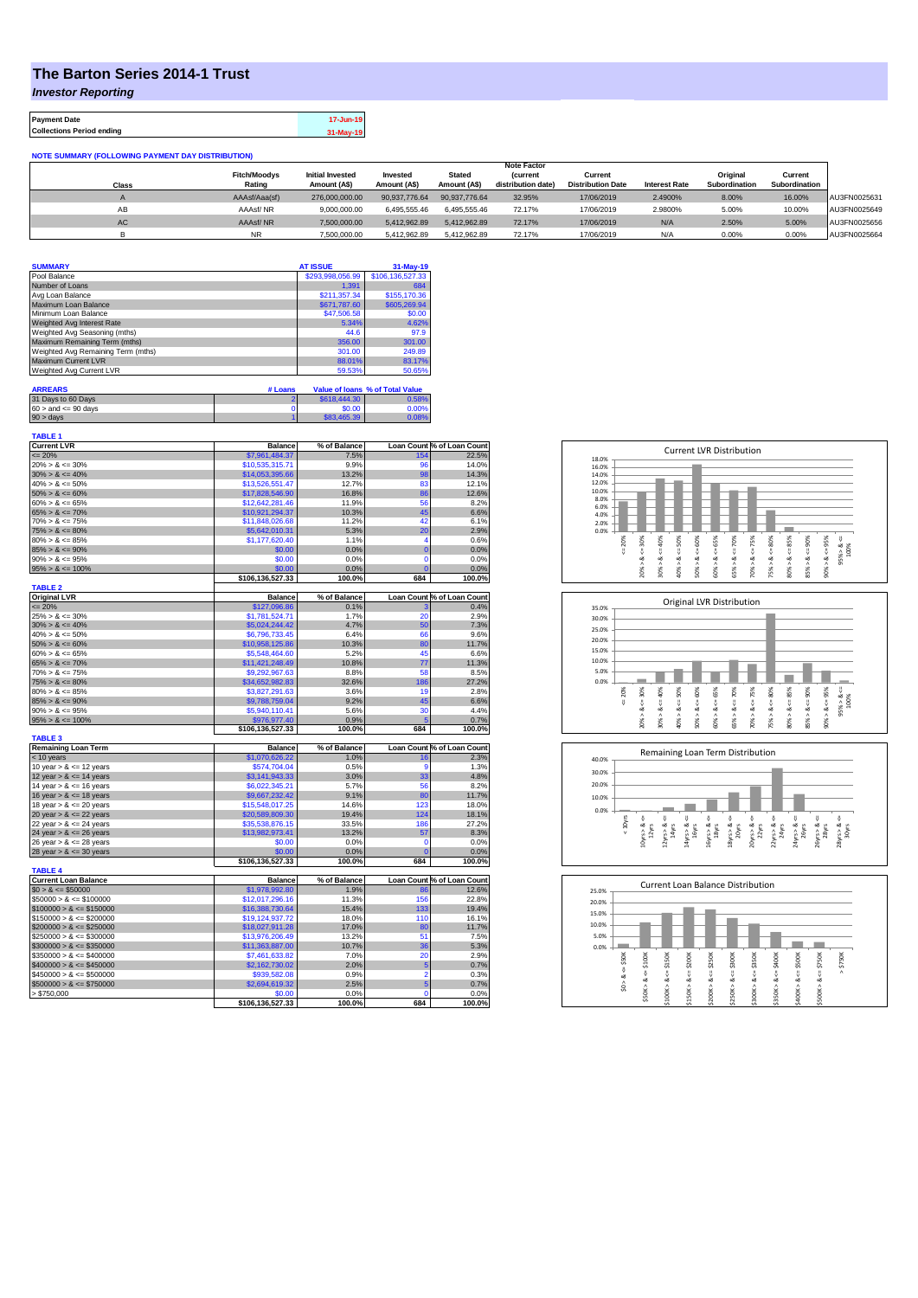## **The Barton Series 2014-1 Trust**

*Investor Reporting*

**Payment Date 17-Jun-19 Collections Period ending 31-May-19**

| <b>NOTE SUMMARY (FOLLOWING PAYMENT DAY DISTRIBUTION)</b> |                     |                         |               |               |                    |                          |                      |               |               |              |
|----------------------------------------------------------|---------------------|-------------------------|---------------|---------------|--------------------|--------------------------|----------------------|---------------|---------------|--------------|
|                                                          | <b>Note Factor</b>  |                         |               |               |                    |                          |                      |               |               |              |
|                                                          | <b>Fitch/Moodys</b> | <b>Initial Invested</b> | Invested      | <b>Stated</b> | <b>(current</b>    | Current                  |                      | Original      | Current       |              |
| Class                                                    | Rating              | Amount (A\$)            | Amount (A\$)  | Amount (A\$)  | distribution date) | <b>Distribution Date</b> | <b>Interest Rate</b> | Subordination | Subordination |              |
|                                                          | AAAsf/Aaa(sf)       | 276,000,000,00          | 90.937.776.64 | 90.937.776.64 | 32.95%             | 17/06/2019               | 2.4900%              | 8.00%         | 16.00%        | AU3FN0025631 |
| AB                                                       | AAAsf/NR            | 9.000.000.00            | 6.495.555.46  | 6.495.555.46  | 72.17%             | 17/06/2019               | 2.9800%              | 5.00%         | 10.00%        | AU3FN0025649 |
| AC                                                       | AAAsf/NR            | 7.500.000.00            | 5.412.962.89  | 5.412.962.89  | 72.17%             | 17/06/2019               | N/A                  | 2.50%         | 5.00%         | AU3FN0025656 |
|                                                          | <b>NR</b>           | 7.500.000.00            | 5.412.962.89  | 5.412.962.89  | 72.17%             | 17/06/2019               | N/A                  | 0.00%         | 0.00%         | AU3FN0025664 |

| <b>SUMMARY</b>                     |         | <b>AT ISSUE</b>  | $31-May-19$                     |
|------------------------------------|---------|------------------|---------------------------------|
| Pool Balance                       |         | \$293,998,056.99 | \$106,136,527.33                |
| Number of Loans                    |         | 1.391            | 684                             |
| Avg Loan Balance                   |         | \$211.357.34     | \$155,170.36                    |
| Maximum Loan Balance               |         | \$671,787.60     | \$605,269.94                    |
| Minimum Loan Balance               |         | \$47,506.58      | \$0.00                          |
| Weighted Avg Interest Rate         |         | 5.34%            | 4.62%                           |
| Weighted Avg Seasoning (mths)      |         | 44.6             | 97.9                            |
| Maximum Remaining Term (mths)      |         | 356.00           | 301.00                          |
| Weighted Avg Remaining Term (mths) |         | 301.00           | 249.89                          |
| <b>Maximum Current LVR</b>         |         | 88.01%           | 83.17%                          |
| Weighted Avg Current LVR           |         | 59.53%           | 50.65%                          |
| <b>ARREARS</b>                     | # Loans |                  | Value of Ioans % of Total Value |

| 31 Days to 60 Days        | S618.444.30 | 0.58% |
|---------------------------|-------------|-------|
| $60 >$ and $\leq 90$ days | \$0.00      | 0.00% |
| $90 >$ days               | \$83,465,39 | 0.08% |

| <b>TABLE 1</b>                        |                  |              |                |                            |
|---------------------------------------|------------------|--------------|----------------|----------------------------|
| <b>Current LVR</b>                    | <b>Balance</b>   | % of Balance |                | Loan Count % of Loan Count |
| $= 20%$                               | \$7,961,484.37   | 7.5%         | 154            | 22.5%                      |
| $20\% > 8 \le 30\%$                   | \$10,535,315.71  | 9.9%         | 96             | 14.0%                      |
| $30\% > 8 \le 40\%$                   | \$14,053,395.66  | 13.2%        | 98             | 14.3%                      |
| $40\% > 8 \le 50\%$                   | \$13,526,551.47  | 12.7%        | 83             | 12.1%                      |
| $50\% > 8 \le 60\%$                   | \$17,828,546.90  | 16.8%        | 86             | 12.6%                      |
| $60\% > 8 \le 65\%$                   | \$12,642,281.46  | 11.9%        | 56             | 8.2%                       |
| $65\% > 8 \le 70\%$                   | \$10,921,294.37  | 10.3%        | 45             | 6.6%                       |
| $70\% > 8 \le 75\%$                   | \$11,848,026.68  | 11.2%        | 42             | 6.1%                       |
| $75\% > 8 \le 80\%$                   | \$5,642,010.31   | 5.3%         | 20             | 2.9%                       |
| $80\% > 8 \le 85\%$                   | \$1,177,620.40   | 1.1%         | 4              | 0.6%                       |
| $85\% > 8 \le 90\%$                   | \$0.00           | 0.0%         | $\overline{0}$ | 0.0%                       |
| $90\% > 8 \le 95\%$                   | \$0.00           | 0.0%         | $\mathbf 0$    | 0.0%                       |
| $95\% > 8 \le 100\%$                  | \$0.00           | 0.0%         | $\mathbf{C}$   | 0.0%                       |
|                                       | \$106,136,527.33 | 100.0%       | 684            | 100.0%                     |
| <b>TABLE 2</b><br><b>Original LVR</b> | <b>Balance</b>   | % of Balance |                | Loan Count % of Loan Count |
| $= 20%$                               | \$127,096.86     | 0.1%         |                | 0.4%                       |
| $25\% > 8 \le 30\%$                   | \$1,781,524.71   | 1.7%         | 20             | 2.9%                       |
| $30\% > 8 \le 40\%$                   | \$5,024,244.42   | 4.7%         | 50             | 7.3%                       |
| $40\% > 8 \le 50\%$                   | \$6,796,733.45   | 6.4%         | 66             | 9.6%                       |
| $50\% > 8 \le 60\%$                   | \$10,958,125.86  | 10.3%        | 80             | 11.7%                      |
| $60\% > 8 \le 65\%$                   | \$5,548,464.60   | 5.2%         | 45             | 6.6%                       |
| $65\% > 8 \le 70\%$                   | \$11,421,248.49  | 10.8%        | 77             | 11.3%                      |
| $70\% > 8 \le 75\%$                   | \$9,292,967.63   | 8.8%         | 58             | 8.5%                       |
| $75\% > 8 \le 80\%$                   | \$34,652,982.83  | 32.6%        | 186            | 27.2%                      |
| $80\% > 8 \le 85\%$                   | \$3,827,291.63   | 3.6%         | 19             | 2.8%                       |
| $85\% > 8 \le 90\%$                   | \$9,788,759.04   | 9.2%         | 45             | 6.6%                       |
| $90\% > 8 \le 95\%$                   | \$5,940,110.41   | 5.6%         | 30             | 4.4%                       |
| $95\% > 8 \le 100\%$                  | \$976,977.40     | 0.9%         | 5              | 0.7%                       |
|                                       | \$106,136,527.33 | 100.0%       | 684            | 100.0%                     |
| <b>TABLE 3</b>                        |                  |              |                |                            |
| <b>Remaining Loan Term</b>            | <b>Balance</b>   | % of Balance |                | Loan Count % of Loan Count |
| $<$ 10 years                          | \$1,070,626.22   | 1.0%         | 16             | 2.3%                       |
| 10 year $> 8 \le 12$ years            | \$574,704.04     | 0.5%         | 9              | 1.3%                       |
| 12 year $> 8 \le 14$ years            | \$3,141,943.33   | 3.0%         | 33             | 4.8%                       |
| 14 year $> 8 \le 16$ years            | \$6,022,345.21   | 5.7%         | 56             | 8.2%                       |
| 16 year $> 8 \le 18$ years            | \$9,667,232.42   | 9.1%         | 80             | 11.7%                      |
| 18 year $> 8 \le 20$ years            | \$15,548,017.25  | 14.6%        | 123            | 18.0%                      |
| 20 year $> 8 \le 22$ years            | \$20,589,809.30  | 19.4%        | 124            | 18.1%                      |
| 22 year $> 8 \le 24$ years            | \$35,538,876.15  | 33.5%        | 186            | 27.2%                      |
| 24 year $> 8 \le 26$ years            | \$13,982,973.41  | 13.2%        | 57             | 8.3%                       |
| 26 year $> 8 \le 28$ years            | \$0.00           | 0.0%         | $\mathbf 0$    | 0.0%                       |
| 28 year $> 8 \le 30$ years            | \$0.00           | 0.0%         | $\overline{0}$ | 0.0%                       |
|                                       | \$106,136,527.33 | 100.0%       | 684            | 100.0%                     |
| <b>TABLE 4</b>                        |                  |              |                |                            |
| <b>Current Loan Balance</b>           | <b>Balance</b>   | % of Balance |                | Loan Count % of Loan Count |
| $$0 > 8 \leq $50000$                  | \$1,978,992.80   | 1.9%         | 86             | 12.6%                      |
| $$50000 > 8 \le $100000$              | \$12,017,296.16  | 11.3%        | 156            | 22.8%                      |
| $$100000 > 8 \le $150000$             | \$16,388,730.64  | 15.4%        | 133            | 19.4%                      |
| $$150000 > 8 \leq $200000$            | \$19,124,937.72  | 18.0%        | 110            | 16.1%                      |
| $$200000 > 8 \leq $250000$            | \$18,027,911.28  | 17.0%        | 80             | 11.7%                      |
| $$250000 > 8 \le $300000$             | \$13,976,206.49  | 13.2%        | 51             | 7.5%                       |
| $$300000 > 8 \leq $350000$            | \$11,363,887.00  | 10.7%        | 36             | 5.3%                       |
| $$350000 > 8 \le $400000$             | \$7,461,633.82   | 7.0%         | 20             | 2.9%                       |
| $$400000 > 8 \leq $450000$            | \$2,162,730.02   | 2.0%         | 5              | 0.7%                       |
| $$450000 > 8 \le $500000$             | \$939,582.08     | 0.9%         | 2              | 0.3%                       |
| $$500000 > 8 \le $750000$             | \$2,694,619.32   | 2.5%         | 5              | 0.7%                       |
| > \$750,000                           | \$0.00           | 0.0%         | $\Omega$       | 0.0%                       |
|                                       | \$106,136,527.33 | 100.0%       | 684            | 100.0%                     |







| 25.0% |        |        | Current Loan Balance Distribution |            |        |         |        |         |        |         |          |
|-------|--------|--------|-----------------------------------|------------|--------|---------|--------|---------|--------|---------|----------|
| 20.0% |        |        |                                   |            |        |         |        |         |        |         |          |
| 15.0% |        |        |                                   |            |        |         |        |         |        |         |          |
| 10.0% |        |        |                                   |            |        |         |        |         |        |         |          |
| 5.0%  |        |        |                                   |            |        |         |        |         |        |         |          |
| 0.0%  |        |        |                                   |            |        |         |        |         |        |         |          |
|       | \$50K  | \$100K | \$150K                            | \$200K     | \$250K | \$300K  | \$350K | \$400K  | \$500K | \$750K  | \$750K   |
|       | ő      |        |                                   | ő          |        |         |        | ű       |        |         | $\wedge$ |
|       | œ<br>Λ | ಯ      | V<br>œ                            |            | ಯ      | ű<br>ಜ  | œ      | ∞       | œ      | ű<br>∞  |          |
|       | S.     |        | Λ                                 |            | Λ      |         |        |         |        |         |          |
|       |        | \$50K> | \$100K                            | \$150K > 8 | \$200K | \$250K> | \$300K | \$350K> | \$400K | \$500K> |          |